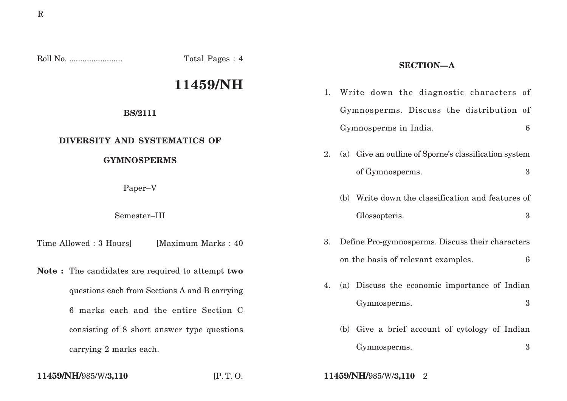R

Roll No. ........................ Total Pages : 4

# **11459/NH**

#### **BS/2111**

## **DIVERSITY AND SYSTEMATICS OF**

### **GYMNOSPERMS**

Paper–V

Semester–III

Time Allowed : 3 Hoursl [Maximum Marks : 40]

**Note :** The candidates are required to attempt **two** questions each from Sections A and B carrying 6 marks each and the entire Section C consisting of 8 short answer type questions carrying 2 marks each.

- 1. Write down the diagnostic characters of Gymnosperms. Discuss the distribution of Gymnosperms in India. 6
- 2. (a) Give an outline of Sporne's classification system of Gymnosperms. 3
	- (b) Write down the classification and features of Glossopteris. 3
- 3. Define Pro-gymnosperms. Discuss their characters on the basis of relevant examples. 6
- 4. (a) Discuss the economic importance of Indian Gymnosperms. 3
	- (b) Give a brief account of cytology of Indian Gymnosperms. 3

**11459/NH/**985/W/**3,110** [P. T. O. **11459/NH/**985/W/**3,110** 2